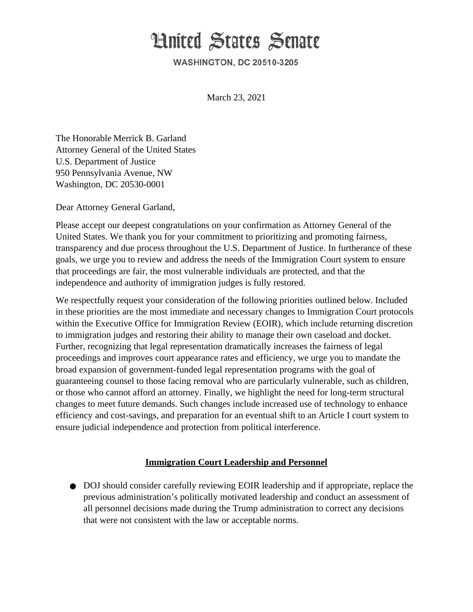# **Hnited States Senate**

**WASHINGTON, DC 20510-3205** 

March 23, 2021

The Honorable Merrick B. Garland **Attorney General of the United States** U.S. Department of Justice 950 Pennsylvania Avenue, NW Washington, DC 20530-0001

Dear Attorney General Garland,

Please accept our deepest congratulations on your confirmation as Attorney General of the United States. We thank you for your commitment to prioritizing and promoting fairness, transparency and due process throughout the U.S. Department of Justice. In furtherance of these goals, we urge you to review and address the needs of the Immigration Court system to ensure that proceedings are fair, the most vulnerable individuals are protected, and that the independence and authority of immigration judges is fully restored.

We respectfully request your consideration of the following priorities outlined below. Included in these priorities are the most immediate and necessary changes to Immigration Court protocols within the Executive Office for Immigration Review (EOIR), which include returning discretion to immigration judges and restoring their ability to manage their own caseload and docket. Further, recognizing that legal representation dramatically increases the fairness of legal proceedings and improves court appearance rates and efficiency, we urge you to mandate the broad expansion of government-funded legal representation programs with the goal of guaranteeing counsel to those facing removal who are particularly vulnerable, such as children, or those who cannot afford an attorney. Finally, we highlight the need for long-term structural changes to meet future demands. Such changes include increased use of technology to enhance efficiency and cost-savings, and preparation for an eventual shift to an Article I court system to ensure judicial independence and protection from political interference.

#### **Immigration Court Leadership and Personnel**

• DOJ should consider carefully reviewing EOIR leadership and if appropriate, replace the previous administration's politically motivated leadership and conduct an assessment of all personnel decisions made during the Trump administration to correct any decisions that were not consistent with the law or acceptable norms.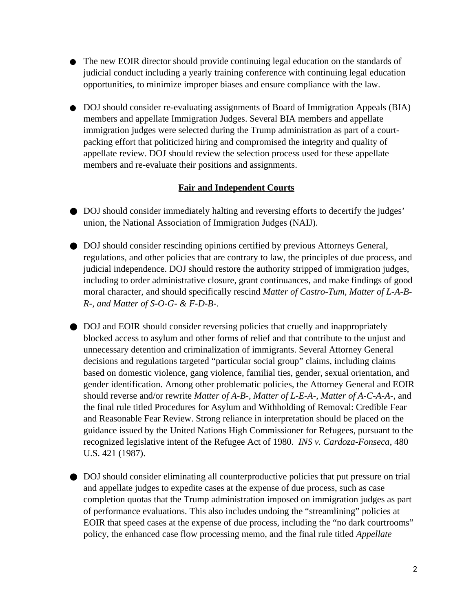- The new EOIR director should provide continuing legal education on the standards of judicial conduct including a yearly training conference with continuing legal education opportunities, to minimize improper biases and ensure compliance with the law.
- DOJ should consider re-evaluating assignments of Board of Immigration Appeals (BIA) members and appellate Immigration Judges. Several BIA members and appellate immigration judges were selected during the Trump administration as part of a courtpacking effort that politicized hiring and compromised the integrity and quality of appellate review. DOJ should review the selection process used for these appellate members and re-evaluate their positions and assignments.

## **Fair and Independent Courts**

- DOJ should consider immediately halting and reversing efforts to decertify the judges' union, the National Association of Immigration Judges (NAIJ).
- DOJ should consider rescinding opinions certified by previous Attorneys General, regulations, and other policies that are contrary to law, the principles of due process, and judicial independence. DOJ should restore the authority stripped of immigration judges, including to order administrative closure, grant continuances, and make findings of good moral character, and should specifically rescind Matter of Castro-Tum, Matter of L-A-B-R-, and Matter of S-O-G- & F-D-B-.
- DOJ and EOIR should consider reversing policies that cruelly and inappropriately blocked access to asylum and other forms of relief and that contribute to the unjust and unnecessary detention and criminalization of immigrants. Several Attorney General decisions and regulations targeted "particular social group" claims, including claims based on domestic violence, gang violence, familial ties, gender, sexual orientation, and gender identification. Among other problematic policies, the Attorney General and EOIR should reverse and/or rewrite Matter of A-B-, Matter of L-E-A-, Matter of A-C-A-A-, and the final rule titled Procedures for Asylum and Withholding of Removal: Credible Fear and Reasonable Fear Review. Strong reliance in interpretation should be placed on the guidance issued by the United Nations High Commissioner for Refugees, pursuant to the recognized legislative intent of the Refugee Act of 1980. INS v. Cardoza-Fonseca, 480 U.S. 421 (1987).
- DOJ should consider eliminating all counterproductive policies that put pressure on trial and appellate judges to expedite cases at the expense of due process, such as case completion quotas that the Trump administration imposed on immigration judges as part of performance evaluations. This also includes undoing the "streamlining" policies at EOIR that speed cases at the expense of due process, including the "no dark courtrooms" policy, the enhanced case flow processing memo, and the final rule titled *Appellate*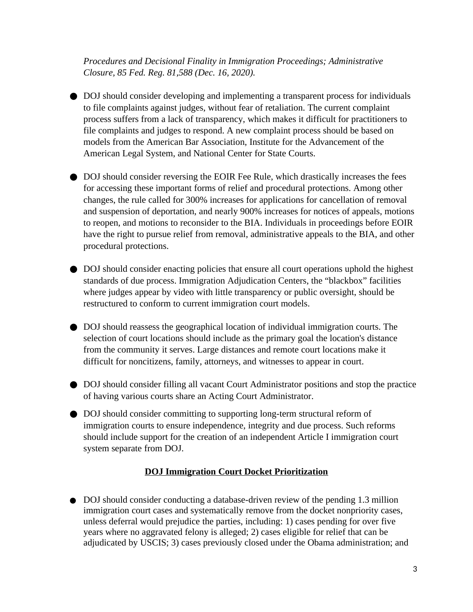Procedures and Decisional Finality in Immigration Proceedings; Administrative Closure, 85 Fed. Req. 81,588 (Dec. 16, 2020).

- DOJ should consider developing and implementing a transparent process for individuals to file complaints against judges, without fear of retaliation. The current complaint process suffers from a lack of transparency, which makes it difficult for practitioners to file complaints and judges to respond. A new complaint process should be based on models from the American Bar Association, Institute for the Advancement of the American Legal System, and National Center for State Courts.
- DOJ should consider reversing the EOIR Fee Rule, which drastically increases the fees for accessing these important forms of relief and procedural protections. Among other changes, the rule called for 300% increases for applications for cancellation of removal and suspension of deportation, and nearly 900% increases for notices of appeals, motions to reopen, and motions to reconsider to the BIA. Individuals in proceedings before EOIR have the right to pursue relief from removal, administrative appeals to the BIA, and other procedural protections.
- DOJ should consider enacting policies that ensure all court operations uphold the highest standards of due process. Immigration Adjudication Centers, the "blackbox" facilities where judges appear by video with little transparency or public oversight, should be restructured to conform to current immigration court models.
- DOJ should reassess the geographical location of individual immigration courts. The selection of court locations should include as the primary goal the location's distance from the community it serves. Large distances and remote court locations make it difficult for noncitizens, family, attorneys, and witnesses to appear in court.
- DOJ should consider filling all vacant Court Administrator positions and stop the practice of having various courts share an Acting Court Administrator.
- DOJ should consider committing to supporting long-term structural reform of immigration courts to ensure independence, integrity and due process. Such reforms should include support for the creation of an independent Article I immigration court system separate from DOJ.

# **DOJ Immigration Court Docket Prioritization**

• DOJ should consider conducting a database-driven review of the pending 1.3 million immigration court cases and systematically remove from the docket nonpriority cases, unless deferral would prejudice the parties, including: 1) cases pending for over five years where no aggravated felony is alleged; 2) cases eligible for relief that can be adjudicated by USCIS; 3) cases previously closed under the Obama administration; and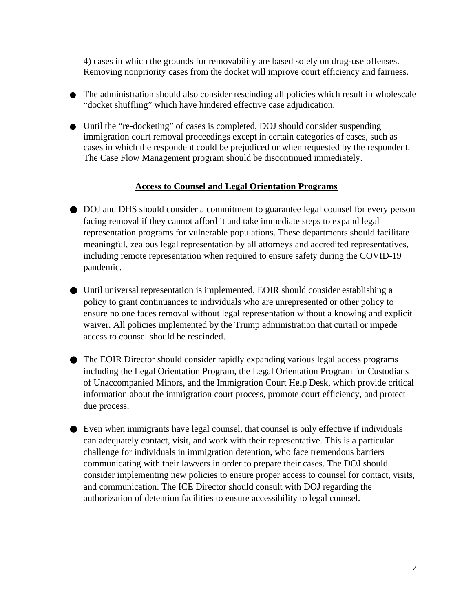4) cases in which the grounds for removability are based solely on drug-use offenses. Removing nonpriority cases from the docket will improve court efficiency and fairness.

- The administration should also consider rescinding all policies which result in wholescale "docket shuffling" which have hindered effective case adjudication.
- Until the "re-docketing" of cases is completed, DOJ should consider suspending immigration court removal proceedings except in certain categories of cases, such as cases in which the respondent could be prejudiced or when requested by the respondent. The Case Flow Management program should be discontinued immediately.

## **Access to Counsel and Legal Orientation Programs**

- DOJ and DHS should consider a commitment to guarantee legal counsel for every person facing removal if they cannot afford it and take immediate steps to expand legal representation programs for vulnerable populations. These departments should facilitate meaningful, zealous legal representation by all attorneys and accredited representatives, including remote representation when required to ensure safety during the COVID-19 pandemic.
- Until universal representation is implemented, EOIR should consider establishing a policy to grant continuances to individuals who are unrepresented or other policy to ensure no one faces removal without legal representation without a knowing and explicit waiver. All policies implemented by the Trump administration that curtail or impede access to counsel should be rescinded.
- The EOIR Director should consider rapidly expanding various legal access programs including the Legal Orientation Program, the Legal Orientation Program for Custodians of Unaccompanied Minors, and the Immigration Court Help Desk, which provide critical information about the immigration court process, promote court efficiency, and protect due process.
- Even when immigrants have legal counsel, that counsel is only effective if individuals can adequately contact, visit, and work with their representative. This is a particular challenge for individuals in immigration detention, who face tremendous barriers communicating with their lawyers in order to prepare their cases. The DOJ should consider implementing new policies to ensure proper access to counsel for contact, visits, and communication. The ICE Director should consult with DOJ regarding the authorization of detention facilities to ensure accessibility to legal counsel.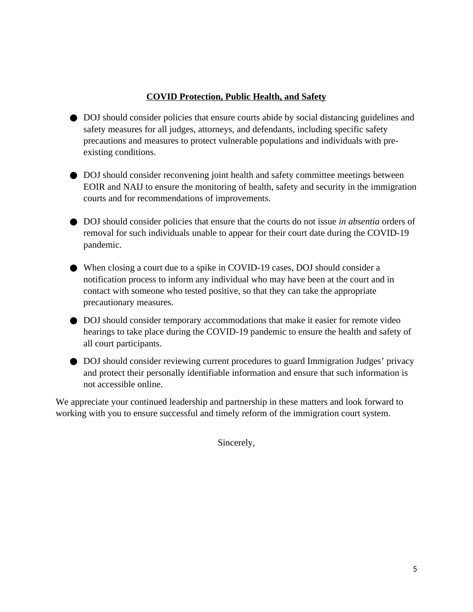### **COVID Protection, Public Health, and Safety**

- DOJ should consider policies that ensure courts abide by social distancing guidelines and safety measures for all judges, attorneys, and defendants, including specific safety precautions and measures to protect vulnerable populations and individuals with preexisting conditions.
- DOJ should consider reconvening joint health and safety committee meetings between EOIR and NAIJ to ensure the monitoring of health, safety and security in the immigration courts and for recommendations of improvements.
- DOJ should consider policies that ensure that the courts do not issue in absentia orders of removal for such individuals unable to appear for their court date during the COVID-19 pandemic.
- When closing a court due to a spike in COVID-19 cases, DOJ should consider a notification process to inform any individual who may have been at the court and in contact with someone who tested positive, so that they can take the appropriate precautionary measures.
- DOJ should consider temporary accommodations that make it easier for remote video hearings to take place during the COVID-19 pandemic to ensure the health and safety of all court participants.
- DOJ should consider reviewing current procedures to guard Immigration Judges' privacy and protect their personally identifiable information and ensure that such information is not accessible online.

We appreciate your continued leadership and partnership in these matters and look forward to working with you to ensure successful and timely reform of the immigration court system.

Sincerely,